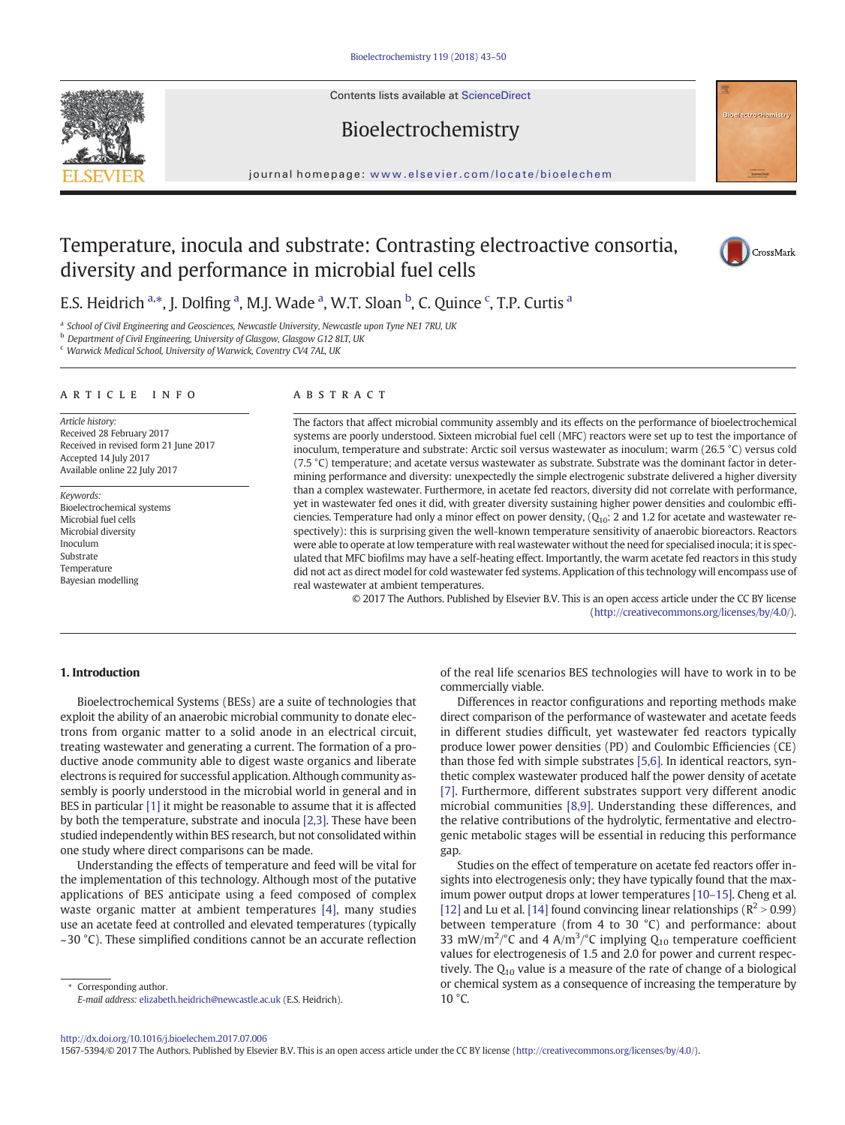Contents lists available at ScienceDirect

Bioelectrochemistry



#### journal homepage: <www.elsevier.com/locate/bioelechem>

# Temperature, inocula and substrate: Contrasting electroactive consortia, diversity and performance in microbial fuel cells



E.S. Heidrich <sup>a,\*</sup>, J. Dolfing <sup>a</sup>, M.J. Wade <sup>a</sup>, W.T. Sloan <sup>b</sup>, C. Quince <sup>c</sup>, T.P. Curtis <sup>a</sup>

<sup>a</sup> School of Civil Engineering and Geosciences, Newcastle University, Newcastle upon Tyne NE1 7RU, UK

b Department of Civil Engineering, University of Glasgow, Glasgow G12 8LT, UK

<sup>c</sup> Warwick Medical School, University of Warwick, Coventry CV4 7AL, UK

#### article info abstract

Article history: Received 28 February 2017 Received in revised form 21 June 2017 Accepted 14 July 2017 Available online 22 July 2017

Keywords: Bioelectrochemical systems Microbial fuel cells Microbial diversity Inoculum Substrate Temperature Bayesian modelling

The factors that affect microbial community assembly and its effects on the performance of bioelectrochemical systems are poorly understood. Sixteen microbial fuel cell (MFC) reactors were set up to test the importance of inoculum, temperature and substrate: Arctic soil versus wastewater as inoculum; warm (26.5 °C) versus cold (7.5 °C) temperature; and acetate versus wastewater as substrate. Substrate was the dominant factor in determining performance and diversity: unexpectedly the simple electrogenic substrate delivered a higher diversity than a complex wastewater. Furthermore, in acetate fed reactors, diversity did not correlate with performance, yet in wastewater fed ones it did, with greater diversity sustaining higher power densities and coulombic efficiencies. Temperature had only a minor effect on power density,  $(Q_{10})$ : 2 and 1.2 for acetate and wastewater respectively): this is surprising given the well-known temperature sensitivity of anaerobic bioreactors. Reactors were able to operate at low temperature with real wastewater without the need for specialised inocula; it is speculated that MFC biofilms may have a self-heating effect. Importantly, the warm acetate fed reactors in this study did not act as direct model for cold wastewater fed systems. Application of this technology will encompass use of real wastewater at ambient temperatures.

© 2017 The Authors. Published by Elsevier B.V. This is an open access article under the CC BY license [\(http://creativecommons.org/licenses/by/4.0/\)](http://creativecommons.org/licenses/by/4.0/).

### 1. Introduction

Bioelectrochemical Systems (BESs) are a suite of technologies that exploit the ability of an anaerobic microbial community to donate electrons from organic matter to a solid anode in an electrical circuit, treating wastewater and generating a current. The formation of a productive anode community able to digest waste organics and liberate electrons is required for successful application. Although community assembly is poorly understood in the microbial world in general and in BES in particular [\[1\]](#page-6-0) it might be reasonable to assume that it is affected by both the temperature, substrate and inocula [\[2,3\]](#page-6-0). These have been studied independently within BES research, but not consolidated within one study where direct comparisons can be made.

Understanding the effects of temperature and feed will be vital for the implementation of this technology. Although most of the putative applications of BES anticipate using a feed composed of complex waste organic matter at ambient temperatures [\[4\]](#page-6-0), many studies use an acetate feed at controlled and elevated temperatures (typically  $\sim$ 30 °C). These simplified conditions cannot be an accurate reflection

Corresponding author. E-mail address: [elizabeth.heidrich@newcastle.ac.uk](mailto:elizabeth.heidrich@newcastle.ac.uk) (E.S. Heidrich). of the real life scenarios BES technologies will have to work in to be commercially viable.

Differences in reactor configurations and reporting methods make direct comparison of the performance of wastewater and acetate feeds in different studies difficult, yet wastewater fed reactors typically produce lower power densities (PD) and Coulombic Efficiencies (CE) than those fed with simple substrates [\[5,6\].](#page-6-0) In identical reactors, synthetic complex wastewater produced half the power density of acetate [\[7\].](#page-6-0) Furthermore, different substrates support very different anodic microbial communities [\[8,9\].](#page-6-0) Understanding these differences, and the relative contributions of the hydrolytic, fermentative and electrogenic metabolic stages will be essential in reducing this performance gap.

Studies on the effect of temperature on acetate fed reactors offer insights into electrogenesis only; they have typically found that the maximum power output drops at lower temperatures [10–[15\]](#page-6-0). Cheng et al. [\[12\]](#page-6-0) and Lu et al. [\[14\]](#page-6-0) found convincing linear relationships ( $\mathbb{R}^2 > 0.99$ ) between temperature (from 4 to 30 °C) and performance: about 33 mW/m<sup>2</sup>/°C and 4 A/m<sup>3</sup>/°C implying  $Q_{10}$  temperature coefficient values for electrogenesis of 1.5 and 2.0 for power and current respectively. The  $Q_{10}$  value is a measure of the rate of change of a biological or chemical system as a consequence of increasing the temperature by  $10 \degree C$ .

<http://dx.doi.org/10.1016/j.bioelechem.2017.07.006>

1567-5394/© 2017 The Authors. Published by Elsevier B.V. This is an open access article under the CC BY license [\(http://creativecommons.org/licenses/by/4.0/](http://creativecommons.org/licenses/by/4.0/)).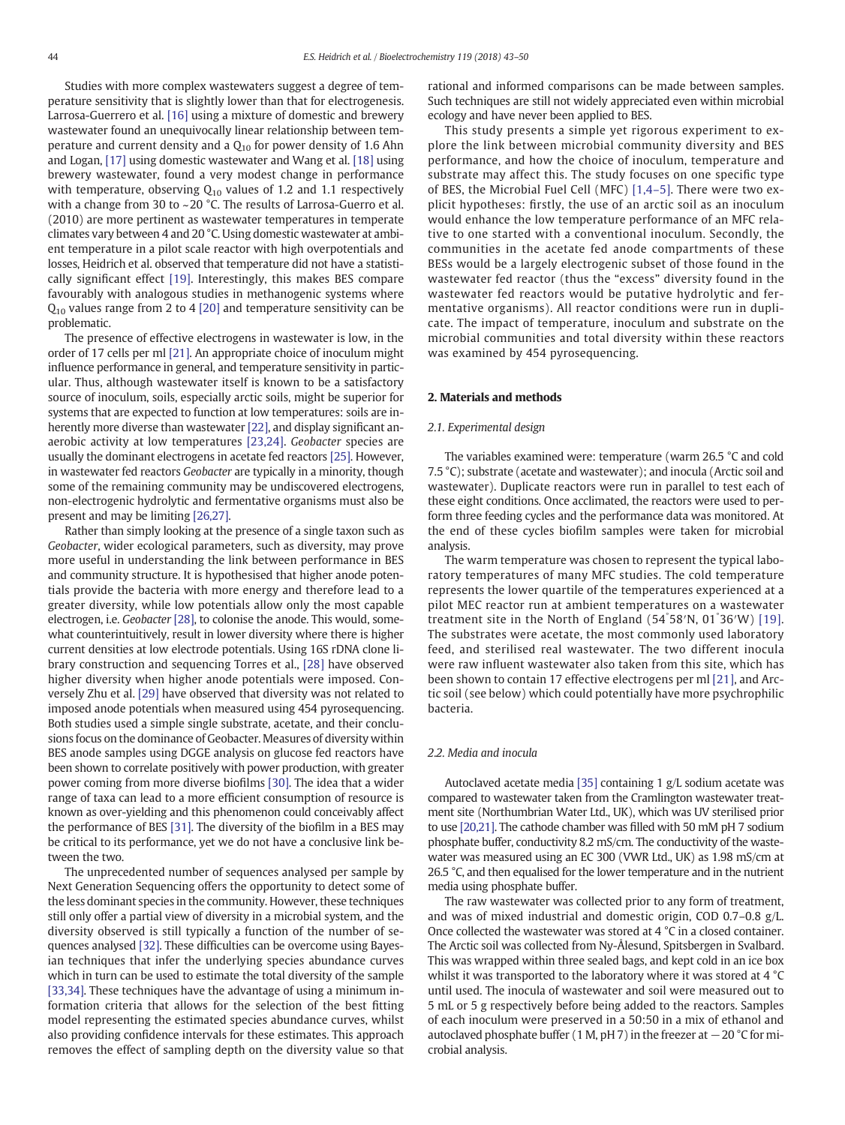Studies with more complex wastewaters suggest a degree of temperature sensitivity that is slightly lower than that for electrogenesis. Larrosa-Guerrero et al. [\[16\]](#page-6-0) using a mixture of domestic and brewery wastewater found an unequivocally linear relationship between temperature and current density and a  $Q_{10}$  for power density of 1.6 Ahn and Logan, [\[17\]](#page-6-0) using domestic wastewater and Wang et al. [\[18\]](#page-6-0) using brewery wastewater, found a very modest change in performance with temperature, observing  $Q_{10}$  values of 1.2 and 1.1 respectively with a change from 30 to ~20 °C. The results of Larrosa-Guerro et al. (2010) are more pertinent as wastewater temperatures in temperate climates vary between 4 and 20 °C. Using domestic wastewater at ambient temperature in a pilot scale reactor with high overpotentials and losses, Heidrich et al. observed that temperature did not have a statistically significant effect [\[19\]](#page-6-0). Interestingly, this makes BES compare favourably with analogous studies in methanogenic systems where  $Q_{10}$  values range from 2 to 4 [\[20\]](#page-6-0) and temperature sensitivity can be problematic.

The presence of effective electrogens in wastewater is low, in the order of 17 cells per ml [\[21\].](#page-6-0) An appropriate choice of inoculum might influence performance in general, and temperature sensitivity in particular. Thus, although wastewater itself is known to be a satisfactory source of inoculum, soils, especially arctic soils, might be superior for systems that are expected to function at low temperatures: soils are inherently more diverse than wastewater [\[22\],](#page-6-0) and display significant anaerobic activity at low temperatures [\[23,24\]](#page-6-0). Geobacter species are usually the dominant electrogens in acetate fed reactors [\[25\]](#page-6-0). However, in wastewater fed reactors Geobacter are typically in a minority, though some of the remaining community may be undiscovered electrogens, non-electrogenic hydrolytic and fermentative organisms must also be present and may be limiting [\[26,27\]](#page-6-0).

Rather than simply looking at the presence of a single taxon such as Geobacter, wider ecological parameters, such as diversity, may prove more useful in understanding the link between performance in BES and community structure. It is hypothesised that higher anode potentials provide the bacteria with more energy and therefore lead to a greater diversity, while low potentials allow only the most capable electrogen, i.e. Geobacter [\[28\],](#page-6-0) to colonise the anode. This would, somewhat counterintuitively, result in lower diversity where there is higher current densities at low electrode potentials. Using 16S rDNA clone library construction and sequencing Torres et al., [\[28\]](#page-6-0) have observed higher diversity when higher anode potentials were imposed. Conversely Zhu et al. [\[29\]](#page-6-0) have observed that diversity was not related to imposed anode potentials when measured using 454 pyrosequencing. Both studies used a simple single substrate, acetate, and their conclusions focus on the dominance of Geobacter. Measures of diversity within BES anode samples using DGGE analysis on glucose fed reactors have been shown to correlate positively with power production, with greater power coming from more diverse biofilms [\[30\].](#page-6-0) The idea that a wider range of taxa can lead to a more efficient consumption of resource is known as over-yielding and this phenomenon could conceivably affect the performance of BES [\[31\].](#page-6-0) The diversity of the biofilm in a BES may be critical to its performance, yet we do not have a conclusive link between the two.

The unprecedented number of sequences analysed per sample by Next Generation Sequencing offers the opportunity to detect some of the less dominant species in the community. However, these techniques still only offer a partial view of diversity in a microbial system, and the diversity observed is still typically a function of the number of sequences analysed [\[32\]](#page-6-0). These difficulties can be overcome using Bayesian techniques that infer the underlying species abundance curves which in turn can be used to estimate the total diversity of the sample [\[33,34\]](#page-6-0). These techniques have the advantage of using a minimum information criteria that allows for the selection of the best fitting model representing the estimated species abundance curves, whilst also providing confidence intervals for these estimates. This approach removes the effect of sampling depth on the diversity value so that

rational and informed comparisons can be made between samples. Such techniques are still not widely appreciated even within microbial ecology and have never been applied to BES.

This study presents a simple yet rigorous experiment to explore the link between microbial community diversity and BES performance, and how the choice of inoculum, temperature and substrate may affect this. The study focuses on one specific type of BES, the Microbial Fuel Cell (MFC) [\[1,4](#page-6-0)–5]. There were two explicit hypotheses: firstly, the use of an arctic soil as an inoculum would enhance the low temperature performance of an MFC relative to one started with a conventional inoculum. Secondly, the communities in the acetate fed anode compartments of these BESs would be a largely electrogenic subset of those found in the wastewater fed reactor (thus the "excess" diversity found in the wastewater fed reactors would be putative hydrolytic and fermentative organisms). All reactor conditions were run in duplicate. The impact of temperature, inoculum and substrate on the microbial communities and total diversity within these reactors was examined by 454 pyrosequencing.

# 2. Materials and methods

#### 2.1. Experimental design

The variables examined were: temperature (warm 26.5 °C and cold 7.5 °C); substrate (acetate and wastewater); and inocula (Arctic soil and wastewater). Duplicate reactors were run in parallel to test each of these eight conditions. Once acclimated, the reactors were used to perform three feeding cycles and the performance data was monitored. At the end of these cycles biofilm samples were taken for microbial analysis.

The warm temperature was chosen to represent the typical laboratory temperatures of many MFC studies. The cold temperature represents the lower quartile of the temperatures experienced at a pilot MEC reactor run at ambient temperatures on a wastewater treatment site in the North of England (54° 58′N, 01° 36′W) [\[19\].](#page-6-0) The substrates were acetate, the most commonly used laboratory feed, and sterilised real wastewater. The two different inocula were raw influent wastewater also taken from this site, which has been shown to contain 17 effective electrogens per ml [\[21\],](#page-6-0) and Arctic soil (see below) which could potentially have more psychrophilic bacteria.

#### 2.2. Media and inocula

Autoclaved acetate media [\[35\]](#page-6-0) containing 1 g/L sodium acetate was compared to wastewater taken from the Cramlington wastewater treatment site (Northumbrian Water Ltd., UK), which was UV sterilised prior to use [\[20,21\].](#page-6-0) The cathode chamber was filled with 50 mM pH 7 sodium phosphate buffer, conductivity 8.2 mS/cm. The conductivity of the wastewater was measured using an EC 300 (VWR Ltd., UK) as 1.98 mS/cm at 26.5 °C, and then equalised for the lower temperature and in the nutrient media using phosphate buffer.

The raw wastewater was collected prior to any form of treatment, and was of mixed industrial and domestic origin, COD 0.7–0.8 g/L. Once collected the wastewater was stored at 4 °C in a closed container. The Arctic soil was collected from Ny-Ålesund, Spitsbergen in Svalbard. This was wrapped within three sealed bags, and kept cold in an ice box whilst it was transported to the laboratory where it was stored at 4 °C until used. The inocula of wastewater and soil were measured out to 5 mL or 5 g respectively before being added to the reactors. Samples of each inoculum were preserved in a 50:50 in a mix of ethanol and autoclaved phosphate buffer (1 M, pH 7) in the freezer at  $-20$  °C for microbial analysis.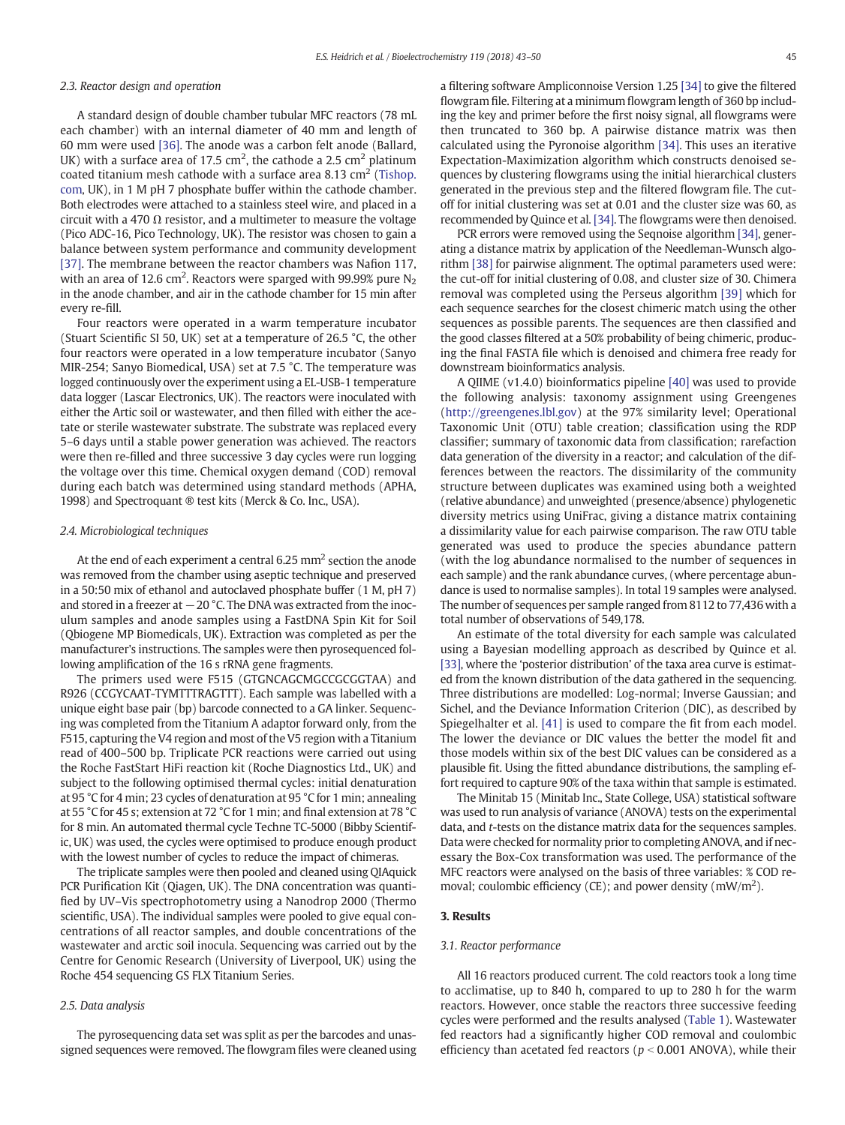# 2.3. Reactor design and operation

A standard design of double chamber tubular MFC reactors (78 mL each chamber) with an internal diameter of 40 mm and length of 60 mm were used [\[36\].](#page-6-0) The anode was a carbon felt anode (Ballard, UK) with a surface area of 17.5 cm<sup>2</sup>, the cathode a 2.5 cm<sup>2</sup> platinum coated titanium mesh cathode with a surface area 8.13  $\text{cm}^2$  [\(Tishop.](http://Tishop.com) [com,](http://Tishop.com) UK), in 1 M pH 7 phosphate buffer within the cathode chamber. Both electrodes were attached to a stainless steel wire, and placed in a circuit with a 470  $\Omega$  resistor, and a multimeter to measure the voltage (Pico ADC-16, Pico Technology, UK). The resistor was chosen to gain a balance between system performance and community development [\[37\]](#page-6-0). The membrane between the reactor chambers was Nafion 117, with an area of 12.6 cm $^2$ . Reactors were sparged with 99.99% pure N $_{\rm 2}$ in the anode chamber, and air in the cathode chamber for 15 min after every re-fill.

Four reactors were operated in a warm temperature incubator (Stuart Scientific SI 50, UK) set at a temperature of 26.5 °C, the other four reactors were operated in a low temperature incubator (Sanyo MIR-254; Sanyo Biomedical, USA) set at 7.5 °C. The temperature was logged continuously over the experiment using a EL-USB-1 temperature data logger (Lascar Electronics, UK). The reactors were inoculated with either the Artic soil or wastewater, and then filled with either the acetate or sterile wastewater substrate. The substrate was replaced every 5–6 days until a stable power generation was achieved. The reactors were then re-filled and three successive 3 day cycles were run logging the voltage over this time. Chemical oxygen demand (COD) removal during each batch was determined using standard methods (APHA, 1998) and Spectroquant ® test kits (Merck & Co. Inc., USA).

# 2.4. Microbiological techniques

At the end of each experiment a central  $6.25$  mm<sup>2</sup> section the anode was removed from the chamber using aseptic technique and preserved in a 50:50 mix of ethanol and autoclaved phosphate buffer (1 M, pH 7) and stored in a freezer at −20 °C. The DNA was extracted from the inoculum samples and anode samples using a FastDNA Spin Kit for Soil (Qbiogene MP Biomedicals, UK). Extraction was completed as per the manufacturer's instructions. The samples were then pyrosequenced following amplification of the 16 s rRNA gene fragments.

The primers used were F515 (GTGNCAGCMGCCGCGGTAA) and R926 (CCGYCAAT-TYMTTTRAGTTT). Each sample was labelled with a unique eight base pair (bp) barcode connected to a GA linker. Sequencing was completed from the Titanium A adaptor forward only, from the F515, capturing the V4 region and most of the V5 region with a Titanium read of 400–500 bp. Triplicate PCR reactions were carried out using the Roche FastStart HiFi reaction kit (Roche Diagnostics Ltd., UK) and subject to the following optimised thermal cycles: initial denaturation at 95 °C for 4 min; 23 cycles of denaturation at 95 °C for 1 min; annealing at 55 °C for 45 s; extension at 72 °C for 1 min; and final extension at 78 °C for 8 min. An automated thermal cycle Techne TC-5000 (Bibby Scientific, UK) was used, the cycles were optimised to produce enough product with the lowest number of cycles to reduce the impact of chimeras.

The triplicate samples were then pooled and cleaned using QIAquick PCR Purification Kit (Qiagen, UK). The DNA concentration was quantified by UV–Vis spectrophotometry using a Nanodrop 2000 (Thermo scientific, USA). The individual samples were pooled to give equal concentrations of all reactor samples, and double concentrations of the wastewater and arctic soil inocula. Sequencing was carried out by the Centre for Genomic Research (University of Liverpool, UK) using the Roche 454 sequencing GS FLX Titanium Series.

# 2.5. Data analysis

The pyrosequencing data set was split as per the barcodes and unassigned sequences were removed. The flowgram files were cleaned using a filtering software Ampliconnoise Version 1.25 [\[34\]](#page-6-0) to give the filtered flowgram file. Filtering at a minimum flowgram length of 360 bp including the key and primer before the first noisy signal, all flowgrams were then truncated to 360 bp. A pairwise distance matrix was then calculated using the Pyronoise algorithm [\[34\]](#page-6-0). This uses an iterative Expectation-Maximization algorithm which constructs denoised sequences by clustering flowgrams using the initial hierarchical clusters generated in the previous step and the filtered flowgram file. The cutoff for initial clustering was set at 0.01 and the cluster size was 60, as recommended by Quince et al. [\[34\].](#page-6-0) The flowgrams were then denoised.

PCR errors were removed using the Seqnoise algorithm [\[34\]](#page-6-0), generating a distance matrix by application of the Needleman-Wunsch algorithm [\[38\]](#page-6-0) for pairwise alignment. The optimal parameters used were: the cut-off for initial clustering of 0.08, and cluster size of 30. Chimera removal was completed using the Perseus algorithm [\[39\]](#page-6-0) which for each sequence searches for the closest chimeric match using the other sequences as possible parents. The sequences are then classified and the good classes filtered at a 50% probability of being chimeric, producing the final FASTA file which is denoised and chimera free ready for downstream bioinformatics analysis.

A QIIME (v1.4.0) bioinformatics pipeline [\[40\]](#page-6-0) was used to provide the following analysis: taxonomy assignment using Greengenes [\(http://greengenes.lbl.gov\)](http://greengenes.lbl.gov) at the 97% similarity level; Operational Taxonomic Unit (OTU) table creation; classification using the RDP classifier; summary of taxonomic data from classification; rarefaction data generation of the diversity in a reactor; and calculation of the differences between the reactors. The dissimilarity of the community structure between duplicates was examined using both a weighted (relative abundance) and unweighted (presence/absence) phylogenetic diversity metrics using UniFrac, giving a distance matrix containing a dissimilarity value for each pairwise comparison. The raw OTU table generated was used to produce the species abundance pattern (with the log abundance normalised to the number of sequences in each sample) and the rank abundance curves, (where percentage abundance is used to normalise samples). In total 19 samples were analysed. The number of sequences per sample ranged from 8112 to 77,436 with a total number of observations of 549,178.

An estimate of the total diversity for each sample was calculated using a Bayesian modelling approach as described by Quince et al. [\[33\],](#page-6-0) where the 'posterior distribution' of the taxa area curve is estimated from the known distribution of the data gathered in the sequencing. Three distributions are modelled: Log-normal; Inverse Gaussian; and Sichel, and the Deviance Information Criterion (DIC), as described by Spiegelhalter et al. [\[41\]](#page-6-0) is used to compare the fit from each model. The lower the deviance or DIC values the better the model fit and those models within six of the best DIC values can be considered as a plausible fit. Using the fitted abundance distributions, the sampling effort required to capture 90% of the taxa within that sample is estimated.

The Minitab 15 (Minitab Inc., State College, USA) statistical software was used to run analysis of variance (ANOVA) tests on the experimental data, and t-tests on the distance matrix data for the sequences samples. Data were checked for normality prior to completing ANOVA, and if necessary the Box-Cox transformation was used. The performance of the MFC reactors were analysed on the basis of three variables: % COD removal; coulombic efficiency (CE); and power density  $(mW/m<sup>2</sup>)$ .

#### 3. Results

### 3.1. Reactor performance

All 16 reactors produced current. The cold reactors took a long time to acclimatise, up to 840 h, compared to up to 280 h for the warm reactors. However, once stable the reactors three successive feeding cycles were performed and the results analysed [\(Table 1](#page-3-0)). Wastewater fed reactors had a significantly higher COD removal and coulombic efficiency than acetated fed reactors ( $p < 0.001$  ANOVA), while their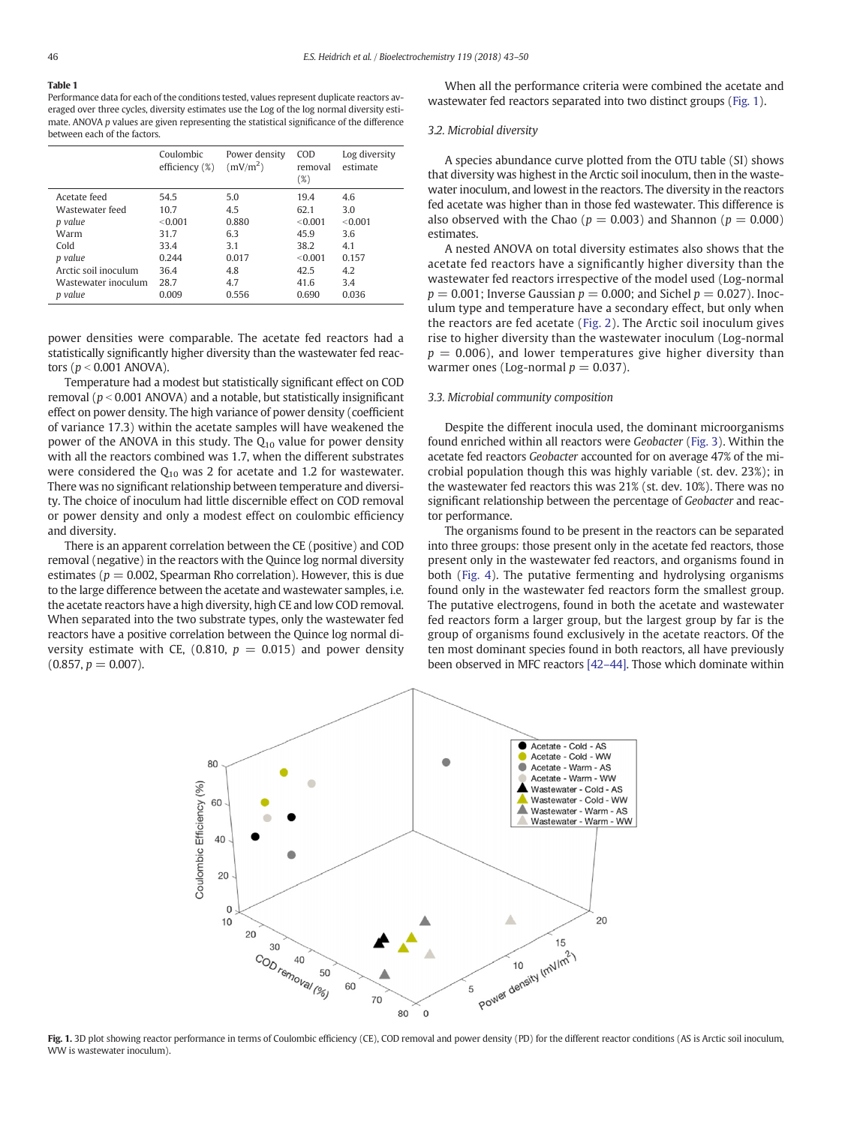#### <span id="page-3-0"></span>Table 1

Performance data for each of the conditions tested, values represent duplicate reactors averaged over three cycles, diversity estimates use the Log of the log normal diversity estimate. ANOVA p values are given representing the statistical significance of the difference between each of the factors.

|                      | Coulombic<br>efficiency (%) | Power density<br>(mV/m <sup>2</sup> ) | COD<br>removal<br>$(\%)$ | Log diversity<br>estimate |
|----------------------|-----------------------------|---------------------------------------|--------------------------|---------------------------|
| Acetate feed         | 54.5                        | 5.0                                   | 19.4                     | 4.6                       |
| Wastewater feed      | 10.7                        | 4.5                                   | 62.1                     | 3.0                       |
| p value              | < 0.001                     | 0.880                                 | < 0.001                  | < 0.001                   |
| Warm                 | 31.7                        | 6.3                                   | 45.9                     | 3.6                       |
| Cold                 | 33.4                        | 3.1                                   | 38.2                     | 4.1                       |
| p value              | 0.244                       | 0.017                                 | < 0.001                  | 0.157                     |
| Arctic soil inoculum | 36.4                        | 4.8                                   | 42.5                     | 4.2                       |
| Wastewater inoculum  | 28.7                        | 4.7                                   | 41.6                     | 3.4                       |
| p value              | 0.009                       | 0.556                                 | 0.690                    | 0.036                     |

power densities were comparable. The acetate fed reactors had a statistically significantly higher diversity than the wastewater fed reactors ( $p < 0.001$  ANOVA).

Temperature had a modest but statistically significant effect on COD removal ( $p < 0.001$  ANOVA) and a notable, but statistically insignificant effect on power density. The high variance of power density (coefficient of variance 17.3) within the acetate samples will have weakened the power of the ANOVA in this study. The  $Q_{10}$  value for power density with all the reactors combined was 1.7, when the different substrates were considered the  $Q_{10}$  was 2 for acetate and 1.2 for wastewater. There was no significant relationship between temperature and diversity. The choice of inoculum had little discernible effect on COD removal or power density and only a modest effect on coulombic efficiency and diversity.

There is an apparent correlation between the CE (positive) and COD removal (negative) in the reactors with the Quince log normal diversity estimates ( $p = 0.002$ , Spearman Rho correlation). However, this is due to the large difference between the acetate and wastewater samples, i.e. the acetate reactors have a high diversity, high CE and low COD removal. When separated into the two substrate types, only the wastewater fed reactors have a positive correlation between the Quince log normal diversity estimate with CE, (0.810,  $p = 0.015$ ) and power density  $(0.857, p = 0.007)$ .

When all the performance criteria were combined the acetate and wastewater fed reactors separated into two distinct groups (Fig. 1).

#### 3.2. Microbial diversity

A species abundance curve plotted from the OTU table (SI) shows that diversity was highest in the Arctic soil inoculum, then in the wastewater inoculum, and lowest in the reactors. The diversity in the reactors fed acetate was higher than in those fed wastewater. This difference is also observed with the Chao ( $p = 0.003$ ) and Shannon ( $p = 0.000$ ) estimates.

A nested ANOVA on total diversity estimates also shows that the acetate fed reactors have a significantly higher diversity than the wastewater fed reactors irrespective of the model used (Log-normal  $p = 0.001$ ; Inverse Gaussian  $p = 0.000$ ; and Sichel  $p = 0.027$ ). Inoculum type and temperature have a secondary effect, but only when the reactors are fed acetate ([Fig. 2](#page-4-0)). The Arctic soil inoculum gives rise to higher diversity than the wastewater inoculum (Log-normal  $p = 0.006$ ), and lower temperatures give higher diversity than warmer ones (Log-normal  $p = 0.037$ ).

# 3.3. Microbial community composition

Despite the different inocula used, the dominant microorganisms found enriched within all reactors were Geobacter [\(Fig. 3](#page-4-0)). Within the acetate fed reactors Geobacter accounted for on average 47% of the microbial population though this was highly variable (st. dev. 23%); in the wastewater fed reactors this was 21% (st. dev. 10%). There was no significant relationship between the percentage of Geobacter and reactor performance.

The organisms found to be present in the reactors can be separated into three groups: those present only in the acetate fed reactors, those present only in the wastewater fed reactors, and organisms found in both ([Fig. 4](#page-5-0)). The putative fermenting and hydrolysing organisms found only in the wastewater fed reactors form the smallest group. The putative electrogens, found in both the acetate and wastewater fed reactors form a larger group, but the largest group by far is the group of organisms found exclusively in the acetate reactors. Of the ten most dominant species found in both reactors, all have previously been observed in MFC reactors [42–[44\].](#page-6-0) Those which dominate within



Fig. 1. 3D plot showing reactor performance in terms of Coulombic efficiency (CE), COD removal and power density (PD) for the different reactor conditions (AS is Arctic soil inoculum, WW is wastewater inoculum).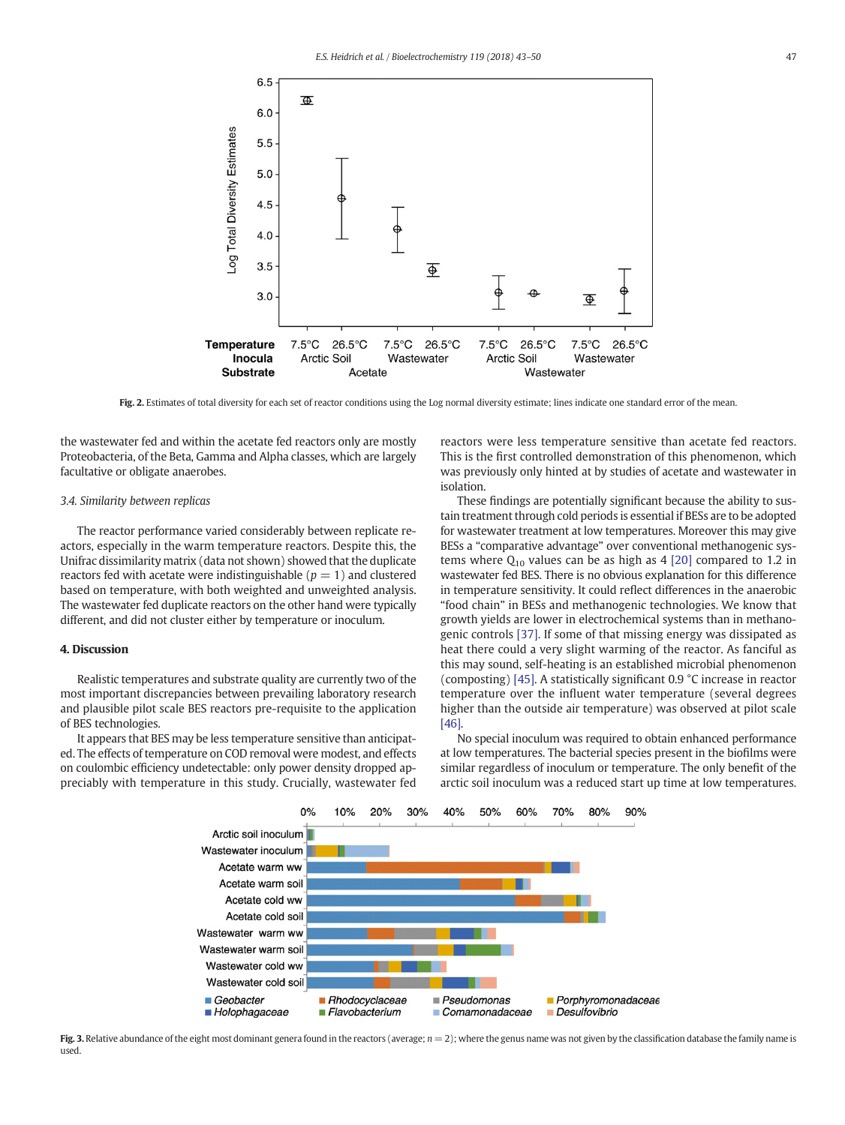<span id="page-4-0"></span>

Fig. 2. Estimates of total diversity for each set of reactor conditions using the Log normal diversity estimate; lines indicate one standard error of the mean.

the wastewater fed and within the acetate fed reactors only are mostly Proteobacteria, of the Beta, Gamma and Alpha classes, which are largely facultative or obligate anaerobes.

# 3.4. Similarity between replicas

The reactor performance varied considerably between replicate reactors, especially in the warm temperature reactors. Despite this, the Unifrac dissimilarity matrix (data not shown) showed that the duplicate reactors fed with acetate were indistinguishable  $(p = 1)$  and clustered based on temperature, with both weighted and unweighted analysis. The wastewater fed duplicate reactors on the other hand were typically different, and did not cluster either by temperature or inoculum.

#### 4. Discussion

Realistic temperatures and substrate quality are currently two of the most important discrepancies between prevailing laboratory research and plausible pilot scale BES reactors pre-requisite to the application of BES technologies.

It appears that BES may be less temperature sensitive than anticipated. The effects of temperature on COD removal were modest, and effects on coulombic efficiency undetectable: only power density dropped appreciably with temperature in this study. Crucially, wastewater fed reactors were less temperature sensitive than acetate fed reactors. This is the first controlled demonstration of this phenomenon, which was previously only hinted at by studies of acetate and wastewater in isolation.

These findings are potentially significant because the ability to sustain treatment through cold periods is essential if BESs are to be adopted for wastewater treatment at low temperatures. Moreover this may give BESs a "comparative advantage" over conventional methanogenic systems where  $Q_{10}$  values can be as high as 4 [\[20\]](#page-6-0) compared to 1.2 in wastewater fed BES. There is no obvious explanation for this difference in temperature sensitivity. It could reflect differences in the anaerobic "food chain" in BESs and methanogenic technologies. We know that growth yields are lower in electrochemical systems than in methanogenic controls [\[37\]](#page-6-0). If some of that missing energy was dissipated as heat there could a very slight warming of the reactor. As fanciful as this may sound, self-heating is an established microbial phenomenon (composting) [\[45\].](#page-6-0) A statistically significant 0.9 °C increase in reactor temperature over the influent water temperature (several degrees higher than the outside air temperature) was observed at pilot scale [\[46\].](#page-6-0)

No special inoculum was required to obtain enhanced performance at low temperatures. The bacterial species present in the biofilms were similar regardless of inoculum or temperature. The only benefit of the arctic soil inoculum was a reduced start up time at low temperatures.



Fig. 3. Relative abundance of the eight most dominant genera found in the reactors (average;  $n = 2$ ); where the genus name was not given by the classification database the family name is used.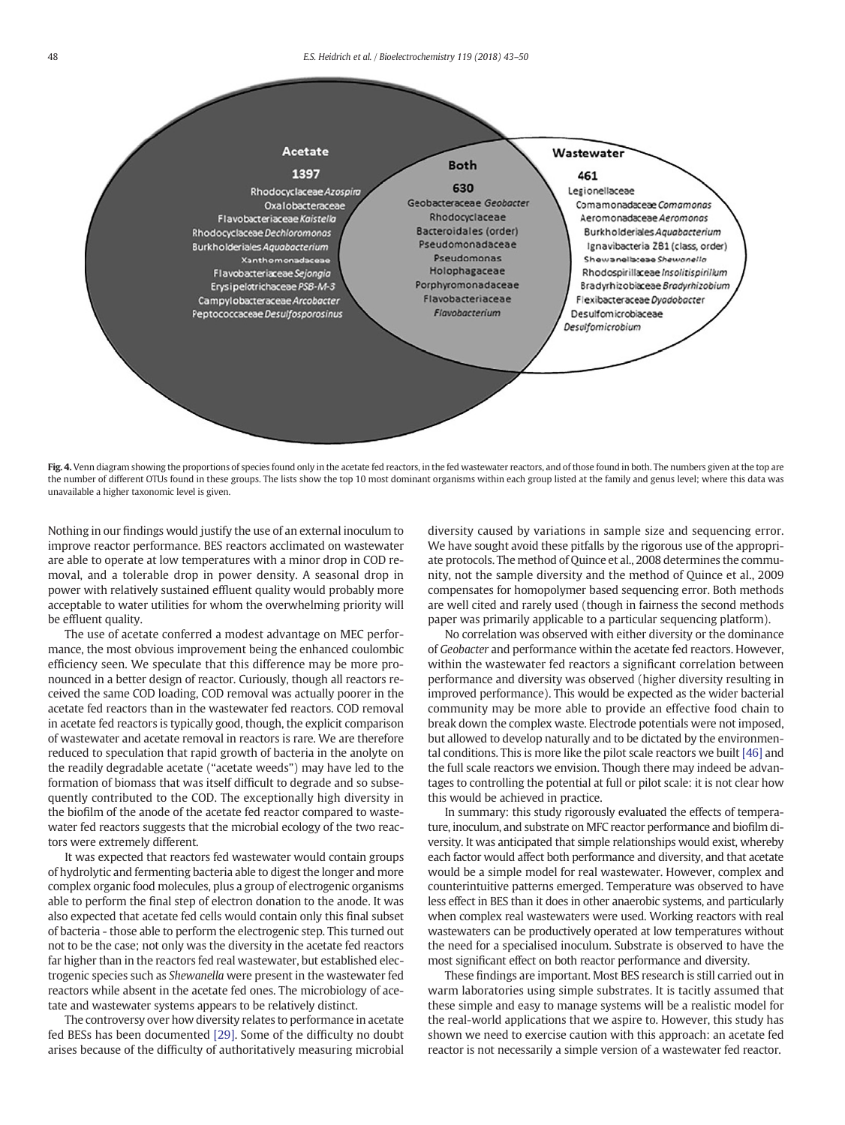<span id="page-5-0"></span>

Fig. 4. Venn diagram showing the proportions of species found only in the acetate fed reactors, in the fed wastewater reactors, and of those found in both. The numbers given at the top are the number of different OTUs found in these groups. The lists show the top 10 most dominant organisms within each group listed at the family and genus level; where this data was unavailable a higher taxonomic level is given.

Nothing in our findings would justify the use of an external inoculum to improve reactor performance. BES reactors acclimated on wastewater are able to operate at low temperatures with a minor drop in COD removal, and a tolerable drop in power density. A seasonal drop in power with relatively sustained effluent quality would probably more acceptable to water utilities for whom the overwhelming priority will be effluent quality.

The use of acetate conferred a modest advantage on MEC performance, the most obvious improvement being the enhanced coulombic efficiency seen. We speculate that this difference may be more pronounced in a better design of reactor. Curiously, though all reactors received the same COD loading, COD removal was actually poorer in the acetate fed reactors than in the wastewater fed reactors. COD removal in acetate fed reactors is typically good, though, the explicit comparison of wastewater and acetate removal in reactors is rare. We are therefore reduced to speculation that rapid growth of bacteria in the anolyte on the readily degradable acetate ("acetate weeds") may have led to the formation of biomass that was itself difficult to degrade and so subsequently contributed to the COD. The exceptionally high diversity in the biofilm of the anode of the acetate fed reactor compared to wastewater fed reactors suggests that the microbial ecology of the two reactors were extremely different.

It was expected that reactors fed wastewater would contain groups of hydrolytic and fermenting bacteria able to digest the longer and more complex organic food molecules, plus a group of electrogenic organisms able to perform the final step of electron donation to the anode. It was also expected that acetate fed cells would contain only this final subset of bacteria - those able to perform the electrogenic step. This turned out not to be the case; not only was the diversity in the acetate fed reactors far higher than in the reactors fed real wastewater, but established electrogenic species such as Shewanella were present in the wastewater fed reactors while absent in the acetate fed ones. The microbiology of acetate and wastewater systems appears to be relatively distinct.

The controversy over how diversity relates to performance in acetate fed BESs has been documented [\[29\].](#page-6-0) Some of the difficulty no doubt arises because of the difficulty of authoritatively measuring microbial diversity caused by variations in sample size and sequencing error. We have sought avoid these pitfalls by the rigorous use of the appropriate protocols. The method of Quince et al., 2008 determines the community, not the sample diversity and the method of Quince et al., 2009 compensates for homopolymer based sequencing error. Both methods are well cited and rarely used (though in fairness the second methods paper was primarily applicable to a particular sequencing platform).

No correlation was observed with either diversity or the dominance of Geobacter and performance within the acetate fed reactors. However, within the wastewater fed reactors a significant correlation between performance and diversity was observed (higher diversity resulting in improved performance). This would be expected as the wider bacterial community may be more able to provide an effective food chain to break down the complex waste. Electrode potentials were not imposed, but allowed to develop naturally and to be dictated by the environmental conditions. This is more like the pilot scale reactors we built [\[46\]](#page-6-0) and the full scale reactors we envision. Though there may indeed be advantages to controlling the potential at full or pilot scale: it is not clear how this would be achieved in practice.

In summary: this study rigorously evaluated the effects of temperature, inoculum, and substrate on MFC reactor performance and biofilm diversity. It was anticipated that simple relationships would exist, whereby each factor would affect both performance and diversity, and that acetate would be a simple model for real wastewater. However, complex and counterintuitive patterns emerged. Temperature was observed to have less effect in BES than it does in other anaerobic systems, and particularly when complex real wastewaters were used. Working reactors with real wastewaters can be productively operated at low temperatures without the need for a specialised inoculum. Substrate is observed to have the most significant effect on both reactor performance and diversity.

These findings are important. Most BES research is still carried out in warm laboratories using simple substrates. It is tacitly assumed that these simple and easy to manage systems will be a realistic model for the real-world applications that we aspire to. However, this study has shown we need to exercise caution with this approach: an acetate fed reactor is not necessarily a simple version of a wastewater fed reactor.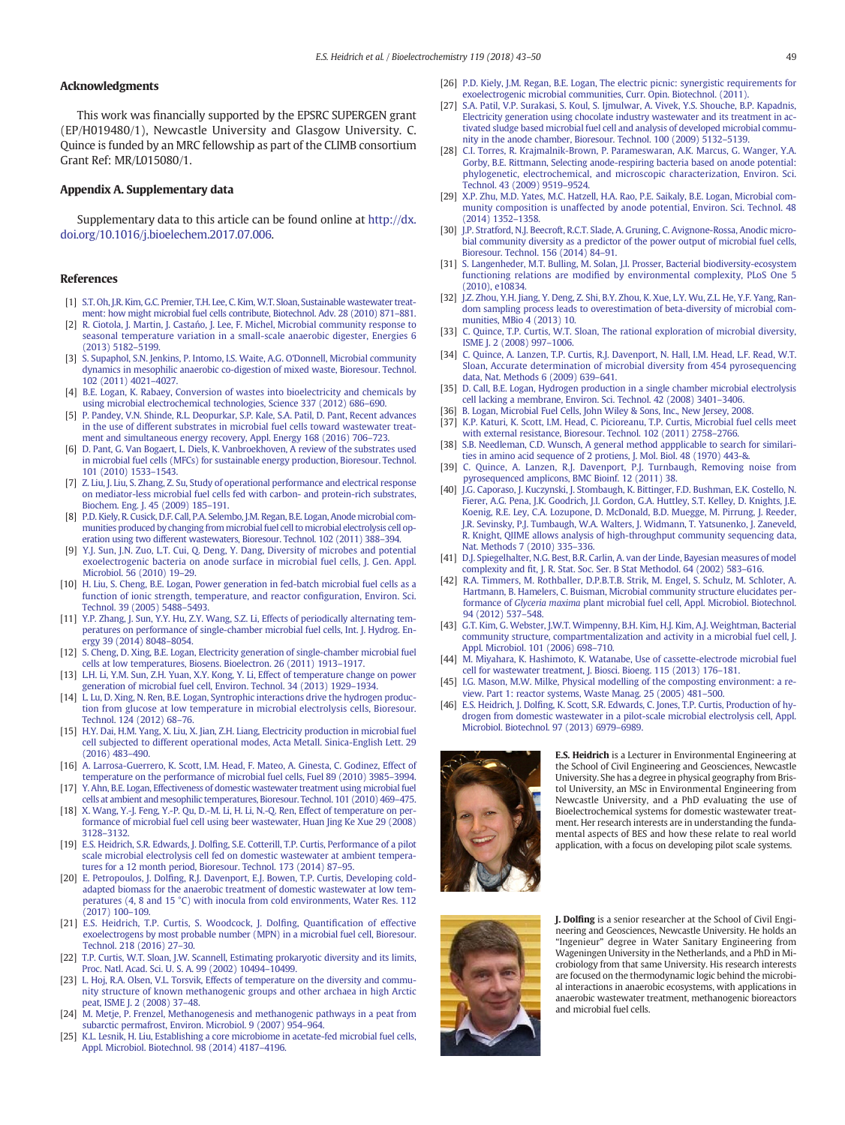# <span id="page-6-0"></span>Acknowledgments

This work was financially supported by the EPSRC SUPERGEN grant (EP/H019480/1), Newcastle University and Glasgow University. C. Quince is funded by an MRC fellowship as part of the CLIMB consortium Grant Ref: MR/L015080/1.

# Appendix A. Supplementary data

Supplementary data to this article can be found online at [http://dx.](doi:10.1016/j.bioelechem.2017.07.006) [doi.org/10.1016/j.bioelechem.2017.07.006](doi:10.1016/j.bioelechem.2017.07.006).

# References

- [1] [S.T. Oh, J.R. Kim, G.C. Premier, T.H. Lee, C. Kim,W.T. Sloan, Sustainable wastewater treat](http://refhub.elsevier.com/S1567-5394(17)30107-X/rf0005)[ment: how might microbial fuel cells contribute, Biotechnol. Adv. 28 \(2010\) 871](http://refhub.elsevier.com/S1567-5394(17)30107-X/rf0005)–881.
- [2] R. Ciotola, J. Martin, J. Castań[o, J. Lee, F. Michel, Microbial community response to](http://refhub.elsevier.com/S1567-5394(17)30107-X/rf0010) [seasonal temperature variation in a small-scale anaerobic digester, Energies 6](http://refhub.elsevier.com/S1567-5394(17)30107-X/rf0010) [\(2013\) 5182](http://refhub.elsevier.com/S1567-5394(17)30107-X/rf0010)–5199.
- [3] [S. Supaphol, S.N. Jenkins, P. Intomo, I.S. Waite, A.G. O'Donnell, Microbial community](http://refhub.elsevier.com/S1567-5394(17)30107-X/rf0015) [dynamics in mesophilic anaerobic co-digestion of mixed waste, Bioresour. Technol.](http://refhub.elsevier.com/S1567-5394(17)30107-X/rf0015) [102 \(2011\) 4021](http://refhub.elsevier.com/S1567-5394(17)30107-X/rf0015)–4027.
- [4] [B.E. Logan, K. Rabaey, Conversion of wastes into bioelectricity and chemicals by](http://refhub.elsevier.com/S1567-5394(17)30107-X/rf0020) [using microbial electrochemical technologies, Science 337 \(2012\) 686](http://refhub.elsevier.com/S1567-5394(17)30107-X/rf0020)–690.
- [5] [P. Pandey, V.N. Shinde, R.L. Deopurkar, S.P. Kale, S.A. Patil, D. Pant, Recent advances](http://refhub.elsevier.com/S1567-5394(17)30107-X/rf0025) [in the use of different substrates in microbial fuel cells toward wastewater treat](http://refhub.elsevier.com/S1567-5394(17)30107-X/rf0025)[ment and simultaneous energy recovery, Appl. Energy 168 \(2016\) 706](http://refhub.elsevier.com/S1567-5394(17)30107-X/rf0025)–723.
- [6] [D. Pant, G. Van Bogaert, L. Diels, K. Vanbroekhoven, A review of the substrates used](http://refhub.elsevier.com/S1567-5394(17)30107-X/rf0030) [in microbial fuel cells \(MFCs\) for sustainable energy production, Bioresour. Technol.](http://refhub.elsevier.com/S1567-5394(17)30107-X/rf0030) [101 \(2010\) 1533](http://refhub.elsevier.com/S1567-5394(17)30107-X/rf0030)–1543.
- [7] [Z. Liu, J. Liu, S. Zhang, Z. Su, Study of operational performance and electrical response](http://refhub.elsevier.com/S1567-5394(17)30107-X/rf0035) [on mediator-less microbial fuel cells fed with carbon- and protein-rich substrates,](http://refhub.elsevier.com/S1567-5394(17)30107-X/rf0035) [Biochem. Eng. J. 45 \(2009\) 185](http://refhub.elsevier.com/S1567-5394(17)30107-X/rf0035)–191.
- [8] [P.D. Kiely, R. Cusick, D.F. Call, P.A. Selembo, J.M. Regan, B.E. Logan, Anode microbial com](http://refhub.elsevier.com/S1567-5394(17)30107-X/rf0040)[munities produced by changing from microbial fuel cell to microbial electrolysis cell op](http://refhub.elsevier.com/S1567-5394(17)30107-X/rf0040)[eration using two different wastewaters, Bioresour. Technol. 102 \(2011\) 388](http://refhub.elsevier.com/S1567-5394(17)30107-X/rf0040)–394.
- [9] [Y.J. Sun, J.N. Zuo, L.T. Cui, Q. Deng, Y. Dang, Diversity of microbes and potential](http://refhub.elsevier.com/S1567-5394(17)30107-X/rf0045) [exoelectrogenic bacteria on anode surface in microbial fuel cells, J. Gen. Appl.](http://refhub.elsevier.com/S1567-5394(17)30107-X/rf0045) [Microbiol. 56 \(2010\) 19](http://refhub.elsevier.com/S1567-5394(17)30107-X/rf0045)–29.
- [10] [H. Liu, S. Cheng, B.E. Logan, Power generation in fed-batch microbial fuel cells as a](http://refhub.elsevier.com/S1567-5394(17)30107-X/rf0050) [function of ionic strength, temperature, and reactor con](http://refhub.elsevier.com/S1567-5394(17)30107-X/rf0050)figuration, Environ. Sci. [Technol. 39 \(2005\) 5488](http://refhub.elsevier.com/S1567-5394(17)30107-X/rf0050)–5493.
- [11] [Y.P. Zhang, J. Sun, Y.Y. Hu, Z.Y. Wang, S.Z. Li, Effects of periodically alternating tem](http://refhub.elsevier.com/S1567-5394(17)30107-X/rf0055)[peratures on performance of single-chamber microbial fuel cells, Int. J. Hydrog. En](http://refhub.elsevier.com/S1567-5394(17)30107-X/rf0055)[ergy 39 \(2014\) 8048](http://refhub.elsevier.com/S1567-5394(17)30107-X/rf0055)–8054.
- [12] [S. Cheng, D. Xing, B.E. Logan, Electricity generation of single-chamber microbial fuel](http://refhub.elsevier.com/S1567-5394(17)30107-X/rf0060) [cells at low temperatures, Biosens. Bioelectron. 26 \(2011\) 1913](http://refhub.elsevier.com/S1567-5394(17)30107-X/rf0060)–1917.
- [13] [L.H. Li, Y.M. Sun, Z.H. Yuan, X.Y. Kong, Y. Li, Effect of temperature change on power](http://refhub.elsevier.com/S1567-5394(17)30107-X/rf0065) [generation of microbial fuel cell, Environ. Technol. 34 \(2013\) 1929](http://refhub.elsevier.com/S1567-5394(17)30107-X/rf0065)–1934.
- [14] [L. Lu, D. Xing, N. Ren, B.E. Logan, Syntrophic interactions drive the hydrogen produc](http://refhub.elsevier.com/S1567-5394(17)30107-X/rf0070)[tion from glucose at low temperature in microbial electrolysis cells, Bioresour.](http://refhub.elsevier.com/S1567-5394(17)30107-X/rf0070) [Technol. 124 \(2012\) 68](http://refhub.elsevier.com/S1567-5394(17)30107-X/rf0070)–76.
- [15] [H.Y. Dai, H.M. Yang, X. Liu, X. Jian, Z.H. Liang, Electricity production in microbial fuel](http://refhub.elsevier.com/S1567-5394(17)30107-X/rf0075) [cell subjected to different operational modes, Acta Metall. Sinica-English Lett. 29](http://refhub.elsevier.com/S1567-5394(17)30107-X/rf0075) [\(2016\) 483](http://refhub.elsevier.com/S1567-5394(17)30107-X/rf0075)–490.
- [16] [A. Larrosa-Guerrero, K. Scott, I.M. Head, F. Mateo, A. Ginesta, C. Godinez, Effect of](http://refhub.elsevier.com/S1567-5394(17)30107-X/rf0080) [temperature on the performance of microbial fuel cells, Fuel 89 \(2010\) 3985](http://refhub.elsevier.com/S1567-5394(17)30107-X/rf0080)–3994.
- [17] [Y. Ahn, B.E. Logan, Effectiveness of domestic wastewater treatment using microbial fuel](http://refhub.elsevier.com/S1567-5394(17)30107-X/rf0085) [cells at ambient and mesophilic temperatures, Bioresour. Technol. 101 \(2010\) 469](http://refhub.elsevier.com/S1567-5394(17)30107-X/rf0085)–475.
- [18] [X. Wang, Y.-J. Feng, Y.-P. Qu, D.-M. Li, H. Li, N.-Q. Ren, Effect of temperature on per](http://refhub.elsevier.com/S1567-5394(17)30107-X/rf0090)[formance of microbial fuel cell using beer wastewater, Huan Jing Ke Xue 29 \(2008\)](http://refhub.elsevier.com/S1567-5394(17)30107-X/rf0090) [3128](http://refhub.elsevier.com/S1567-5394(17)30107-X/rf0090)–3132.
- [19] E.S. Heidrich, S.R. Edwards, J. Dolfi[ng, S.E. Cotterill, T.P. Curtis, Performance of a pilot](http://refhub.elsevier.com/S1567-5394(17)30107-X/rf0095) [scale microbial electrolysis cell fed on domestic wastewater at ambient tempera](http://refhub.elsevier.com/S1567-5394(17)30107-X/rf0095)[tures for a 12 month period, Bioresour. Technol. 173 \(2014\) 87](http://refhub.elsevier.com/S1567-5394(17)30107-X/rf0095)–95.
- [20] E. Petropoulos, J. Dolfi[ng, R.J. Davenport, E.J. Bowen, T.P. Curtis, Developing cold](http://refhub.elsevier.com/S1567-5394(17)30107-X/rf0100)[adapted biomass for the anaerobic treatment of domestic wastewater at low tem](http://refhub.elsevier.com/S1567-5394(17)30107-X/rf0100)[peratures \(4, 8 and 15 °C\) with inocula from cold environments, Water Res. 112](http://refhub.elsevier.com/S1567-5394(17)30107-X/rf0100) [\(2017\) 100](http://refhub.elsevier.com/S1567-5394(17)30107-X/rf0100)–109.
- [21] [E.S. Heidrich, T.P. Curtis, S. Woodcock, J. Dol](http://refhub.elsevier.com/S1567-5394(17)30107-X/rf0105)fing, Quantification of effective [exoelectrogens by most probable number \(MPN\) in a microbial fuel cell, Bioresour.](http://refhub.elsevier.com/S1567-5394(17)30107-X/rf0105) [Technol. 218 \(2016\) 27](http://refhub.elsevier.com/S1567-5394(17)30107-X/rf0105)–30.
- [22] [T.P. Curtis, W.T. Sloan, J.W. Scannell, Estimating prokaryotic diversity and its limits,](http://refhub.elsevier.com/S1567-5394(17)30107-X/rf0110) [Proc. Natl. Acad. Sci. U. S. A. 99 \(2002\) 10494](http://refhub.elsevier.com/S1567-5394(17)30107-X/rf0110)–10499.
- [23] [L. Hoj, R.A. Olsen, V.L. Torsvik, Effects of temperature on the diversity and commu](http://refhub.elsevier.com/S1567-5394(17)30107-X/rf0115)[nity structure of known methanogenic groups and other archaea in high Arctic](http://refhub.elsevier.com/S1567-5394(17)30107-X/rf0115) [peat, ISME J. 2 \(2008\) 37](http://refhub.elsevier.com/S1567-5394(17)30107-X/rf0115)–48.
- [24] [M. Metje, P. Frenzel, Methanogenesis and methanogenic pathways in a peat from](http://refhub.elsevier.com/S1567-5394(17)30107-X/rf0120) [subarctic permafrost, Environ. Microbiol. 9 \(2007\) 954](http://refhub.elsevier.com/S1567-5394(17)30107-X/rf0120)–964.
- [25] [K.L. Lesnik, H. Liu, Establishing a core microbiome in acetate-fed microbial fuel cells,](http://refhub.elsevier.com/S1567-5394(17)30107-X/rf0125) [Appl. Microbiol. Biotechnol. 98 \(2014\) 4187](http://refhub.elsevier.com/S1567-5394(17)30107-X/rf0125)–4196.
- [26] [P.D. Kiely, J.M. Regan, B.E. Logan, The electric picnic: synergistic requirements for](http://refhub.elsevier.com/S1567-5394(17)30107-X/rf0130) [exoelectrogenic microbial communities, Curr. Opin. Biotechnol. \(2011\).](http://refhub.elsevier.com/S1567-5394(17)30107-X/rf0130)
- [27] [S.A. Patil, V.P. Surakasi, S. Koul, S. Ijmulwar, A. Vivek, Y.S. Shouche, B.P. Kapadnis,](http://refhub.elsevier.com/S1567-5394(17)30107-X/rf0135) [Electricity generation using chocolate industry wastewater and its treatment in ac](http://refhub.elsevier.com/S1567-5394(17)30107-X/rf0135)[tivated sludge based microbial fuel cell and analysis of developed microbial commu](http://refhub.elsevier.com/S1567-5394(17)30107-X/rf0135)[nity in the anode chamber, Bioresour. Technol. 100 \(2009\) 5132](http://refhub.elsevier.com/S1567-5394(17)30107-X/rf0135)–5139.
- [28] [C.I. Torres, R. Krajmalnik-Brown, P. Parameswaran, A.K. Marcus, G. Wanger, Y.A.](http://refhub.elsevier.com/S1567-5394(17)30107-X/rf0140) [Gorby, B.E. Rittmann, Selecting anode-respiring bacteria based on anode potential:](http://refhub.elsevier.com/S1567-5394(17)30107-X/rf0140) [phylogenetic, electrochemical, and microscopic characterization, Environ. Sci.](http://refhub.elsevier.com/S1567-5394(17)30107-X/rf0140) [Technol. 43 \(2009\) 9519](http://refhub.elsevier.com/S1567-5394(17)30107-X/rf0140)–9524.
- [29] [X.P. Zhu, M.D. Yates, M.C. Hatzell, H.A. Rao, P.E. Saikaly, B.E. Logan, Microbial com](http://refhub.elsevier.com/S1567-5394(17)30107-X/rf0145)[munity composition is unaffected by anode potential, Environ. Sci. Technol. 48](http://refhub.elsevier.com/S1567-5394(17)30107-X/rf0145) [\(2014\) 1352](http://refhub.elsevier.com/S1567-5394(17)30107-X/rf0145)–1358.
- [30] [J.P. Stratford, N.J. Beecroft, R.C.T. Slade, A. Gruning, C. Avignone-Rossa, Anodic micro](http://refhub.elsevier.com/S1567-5394(17)30107-X/rf0150)[bial community diversity as a predictor of the power output of microbial fuel cells,](http://refhub.elsevier.com/S1567-5394(17)30107-X/rf0150) [Bioresour. Technol. 156 \(2014\) 84](http://refhub.elsevier.com/S1567-5394(17)30107-X/rf0150)–91.
- [31] [S. Langenheder, M.T. Bulling, M. Solan, J.I. Prosser, Bacterial biodiversity-ecosystem](http://refhub.elsevier.com/S1567-5394(17)30107-X/rf0155) functioning relations are modifi[ed by environmental complexity, PLoS One 5](http://refhub.elsevier.com/S1567-5394(17)30107-X/rf0155) [\(2010\), e10834.](http://refhub.elsevier.com/S1567-5394(17)30107-X/rf0155)
- [32] [J.Z. Zhou, Y.H. Jiang, Y. Deng, Z. Shi, B.Y. Zhou, K. Xue, L.Y. Wu, Z.L. He, Y.F. Yang, Ran](http://refhub.elsevier.com/S1567-5394(17)30107-X/rf0160)[dom sampling process leads to overestimation of beta-diversity of microbial com](http://refhub.elsevier.com/S1567-5394(17)30107-X/rf0160)[munities, MBio 4 \(2013\) 10.](http://refhub.elsevier.com/S1567-5394(17)30107-X/rf0160)
- [33] [C. Quince, T.P. Curtis, W.T. Sloan, The rational exploration of microbial diversity,](http://refhub.elsevier.com/S1567-5394(17)30107-X/rf0165) [ISME J. 2 \(2008\) 997](http://refhub.elsevier.com/S1567-5394(17)30107-X/rf0165)–1006.
- [34] [C. Quince, A. Lanzen, T.P. Curtis, R.J. Davenport, N. Hall, I.M. Head, L.F. Read, W.T.](http://refhub.elsevier.com/S1567-5394(17)30107-X/rf0170) [Sloan, Accurate determination of microbial diversity from 454 pyrosequencing](http://refhub.elsevier.com/S1567-5394(17)30107-X/rf0170) [data, Nat. Methods 6 \(2009\) 639](http://refhub.elsevier.com/S1567-5394(17)30107-X/rf0170)–641.
- [35] [D. Call, B.E. Logan, Hydrogen production in a single chamber microbial electrolysis](http://refhub.elsevier.com/S1567-5394(17)30107-X/rf0175) [cell lacking a membrane, Environ. Sci. Technol. 42 \(2008\) 3401](http://refhub.elsevier.com/S1567-5394(17)30107-X/rf0175)–3406.
- [36] [B. Logan, Microbial Fuel Cells, John Wiley & Sons, Inc., New Jersey, 2008.](http://refhub.elsevier.com/S1567-5394(17)30107-X/rf0180)
- [37] [K.P. Katuri, K. Scott, I.M. Head, C. Picioreanu, T.P. Curtis, Microbial fuel cells meet](http://refhub.elsevier.com/S1567-5394(17)30107-X/rf0185) [with external resistance, Bioresour. Technol. 102 \(2011\) 2758](http://refhub.elsevier.com/S1567-5394(17)30107-X/rf0185)–2766.
- [38] [S.B. Needleman, C.D. Wunsch, A general method appplicable to search for similari](http://refhub.elsevier.com/S1567-5394(17)30107-X/rf0190)[ties in amino acid sequence of 2 protiens, J. Mol. Biol. 48 \(1970\) 443-&.](http://refhub.elsevier.com/S1567-5394(17)30107-X/rf0190)
- [39] [C. Quince, A. Lanzen, R.J. Davenport, P.J. Turnbaugh, Removing noise from](http://refhub.elsevier.com/S1567-5394(17)30107-X/rf0195) [pyrosequenced amplicons, BMC Bioinf. 12 \(2011\) 38](http://refhub.elsevier.com/S1567-5394(17)30107-X/rf0195).
- [40] [J.G. Caporaso, J. Kuczynski, J. Stombaugh, K. Bittinger, F.D. Bushman, E.K. Costello, N.](http://refhub.elsevier.com/S1567-5394(17)30107-X/rf0200) [Fierer, A.G. Pena, J.K. Goodrich, J.I. Gordon, G.A. Huttley, S.T. Kelley, D. Knights, J.E.](http://refhub.elsevier.com/S1567-5394(17)30107-X/rf0200) [Koenig, R.E. Ley, C.A. Lozupone, D. McDonald, B.D. Muegge, M. Pirrung, J. Reeder,](http://refhub.elsevier.com/S1567-5394(17)30107-X/rf0200) [J.R. Sevinsky, P.J. Tumbaugh, W.A. Walters, J. Widmann, T. Yatsunenko, J. Zaneveld,](http://refhub.elsevier.com/S1567-5394(17)30107-X/rf0200) [R. Knight, QIIME allows analysis of high-throughput community sequencing data,](http://refhub.elsevier.com/S1567-5394(17)30107-X/rf0200) [Nat. Methods 7 \(2010\) 335](http://refhub.elsevier.com/S1567-5394(17)30107-X/rf0200)–336.
- [41] [D.J. Spiegelhalter, N.G. Best, B.R. Carlin, A. van der Linde, Bayesian measures of model](http://refhub.elsevier.com/S1567-5394(17)30107-X/rf0205) complexity and fi[t, J. R. Stat. Soc. Ser. B Stat Methodol. 64 \(2002\) 583](http://refhub.elsevier.com/S1567-5394(17)30107-X/rf0205)–616.
- [42] [R.A. Timmers, M. Rothballer, D.P.B.T.B. Strik, M. Engel, S. Schulz, M. Schloter, A.](http://refhub.elsevier.com/S1567-5394(17)30107-X/rf0210) [Hartmann, B. Hamelers, C. Buisman, Microbial community structure elucidates per](http://refhub.elsevier.com/S1567-5394(17)30107-X/rf0210)formance of Glyceria maxima [plant microbial fuel cell, Appl. Microbiol. Biotechnol.](http://refhub.elsevier.com/S1567-5394(17)30107-X/rf0210) [94 \(2012\) 537](http://refhub.elsevier.com/S1567-5394(17)30107-X/rf0210)–548.
- [43] [G.T. Kim, G. Webster, J.W.T. Wimpenny, B.H. Kim, H.J. Kim, A.J. Weightman, Bacterial](http://refhub.elsevier.com/S1567-5394(17)30107-X/rf0215) [community structure, compartmentalization and activity in a microbial fuel cell, J.](http://refhub.elsevier.com/S1567-5394(17)30107-X/rf0215) [Appl. Microbiol. 101 \(2006\) 698](http://refhub.elsevier.com/S1567-5394(17)30107-X/rf0215)–710.
- [44] [M. Miyahara, K. Hashimoto, K. Watanabe, Use of cassette-electrode microbial fuel](http://refhub.elsevier.com/S1567-5394(17)30107-X/rf0220) [cell for wastewater treatment, J. Biosci. Bioeng. 115 \(2013\) 176](http://refhub.elsevier.com/S1567-5394(17)30107-X/rf0220)–181.
- [45] [I.G. Mason, M.W. Milke, Physical modelling of the composting environment: a re](http://refhub.elsevier.com/S1567-5394(17)30107-X/rf0225)[view. Part 1: reactor systems, Waste Manag. 25 \(2005\) 481](http://refhub.elsevier.com/S1567-5394(17)30107-X/rf0225)–500.
- [46] E.S. Heidrich, J. Dolfi[ng, K. Scott, S.R. Edwards, C. Jones, T.P. Curtis, Production of hy](http://refhub.elsevier.com/S1567-5394(17)30107-X/rf0230)[drogen from domestic wastewater in a pilot-scale microbial electrolysis cell, Appl.](http://refhub.elsevier.com/S1567-5394(17)30107-X/rf0230) [Microbiol. Biotechnol. 97 \(2013\) 6979](http://refhub.elsevier.com/S1567-5394(17)30107-X/rf0230)–6989.



E.S. Heidrich is a Lecturer in Environmental Engineering at the School of Civil Engineering and Geosciences, Newcastle University. She has a degree in physical geography from Bristol University, an MSc in Environmental Engineering from Newcastle University, and a PhD evaluating the use of Bioelectrochemical systems for domestic wastewater treatment. Her research interests are in understanding the fundamental aspects of BES and how these relate to real world application, with a focus on developing pilot scale systems.



J. Dolfing is a senior researcher at the School of Civil Engineering and Geosciences, Newcastle University. He holds an "Ingenieur" degree in Water Sanitary Engineering from Wageningen University in the Netherlands, and a PhD in Microbiology from that same University. His research interests are focused on the thermodynamic logic behind the microbial interactions in anaerobic ecosystems, with applications in anaerobic wastewater treatment, methanogenic bioreactors and microbial fuel cells.